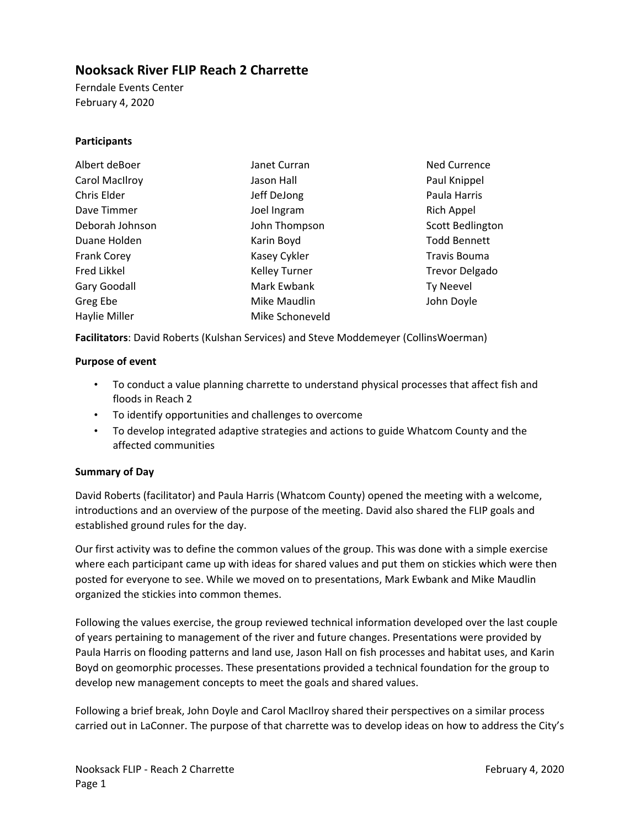## **Nooksack River FLIP Reach 2 Charrette**

Ferndale Events Center February 4, 2020

#### **Participants**

| Albert deBoer      | Janet Curran         | <b>Ned Currence</b>   |
|--------------------|----------------------|-----------------------|
| Carol MacIlroy     | Jason Hall           | Paul Knippel          |
| Chris Elder        | Jeff DeJong          | Paula Harris          |
| Dave Timmer        | Joel Ingram          | Rich Appel            |
| Deborah Johnson    | John Thompson        | Scott Bedlington      |
| Duane Holden       | Karin Boyd           | <b>Todd Bennett</b>   |
| <b>Frank Corey</b> | Kasey Cykler         | Travis Bouma          |
| Fred Likkel        | <b>Kelley Turner</b> | <b>Trevor Delgado</b> |
| Gary Goodall       | Mark Ewbank          | <b>Ty Neevel</b>      |
| Greg Ebe           | Mike Maudlin         | John Doyle            |
| Haylie Miller      | Mike Schoneveld      |                       |

**Facilitators**: David Roberts (Kulshan Services) and Steve Moddemeyer (CollinsWoerman)

#### **Purpose of event**

- To conduct a value planning charrette to understand physical processes that affect fish and floods in Reach 2
- To identify opportunities and challenges to overcome
- To develop integrated adaptive strategies and actions to guide Whatcom County and the affected communities

#### **Summary of Day**

David Roberts (facilitator) and Paula Harris (Whatcom County) opened the meeting with a welcome, introductions and an overview of the purpose of the meeting. David also shared the FLIP goals and established ground rules for the day.

Our first activity was to define the common values of the group. This was done with a simple exercise where each participant came up with ideas for shared values and put them on stickies which were then posted for everyone to see. While we moved on to presentations, Mark Ewbank and Mike Maudlin organized the stickies into common themes.

Following the values exercise, the group reviewed technical information developed over the last couple of years pertaining to management of the river and future changes. Presentations were provided by Paula Harris on flooding patterns and land use, Jason Hall on fish processes and habitat uses, and Karin Boyd on geomorphic processes. These presentations provided a technical foundation for the group to develop new management concepts to meet the goals and shared values.

Following a brief break, John Doyle and Carol MacIlroy shared their perspectives on a similar process carried out in LaConner. The purpose of that charrette was to develop ideas on how to address the City's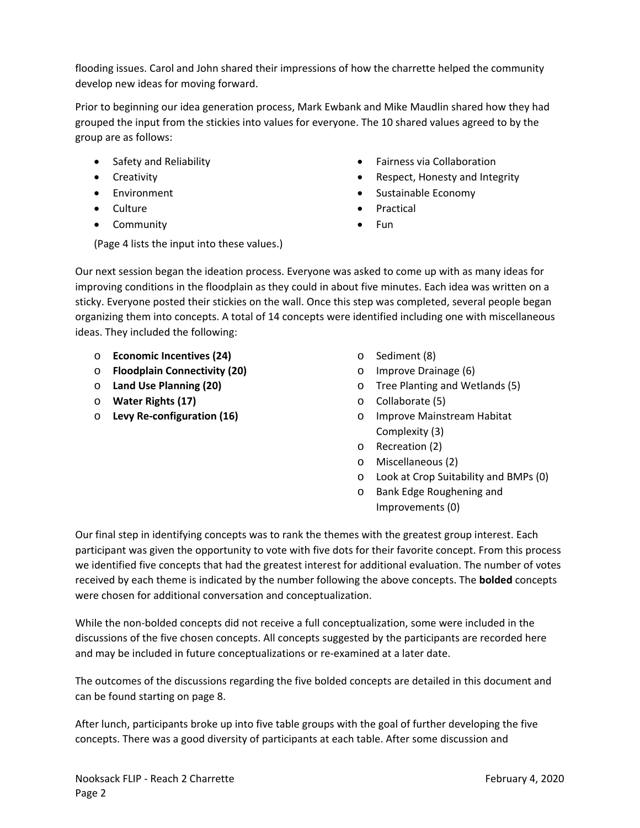flooding issues. Carol and John shared their impressions of how the charrette helped the community develop new ideas for moving forward.

Prior to beginning our idea generation process, Mark Ewbank and Mike Maudlin shared how they had grouped the input from the stickies into values for everyone. The 10 shared values agreed to by the group are as follows:

- Safety and Reliability
- **•** Creativity
- Environment
- Culture
- Community
- Fairness via Collaboration
- Respect, Honesty and Integrity
- Sustainable Economy
- Practical
- Fun

(Page 4 lists the input into these values.)

Our next session began the ideation process. Everyone was asked to come up with as many ideas for improving conditions in the floodplain as they could in about five minutes. Each idea was written on a sticky. Everyone posted their stickies on the wall. Once this step was completed, several people began organizing them into concepts. A total of 14 concepts were identified including one with miscellaneous ideas. They included the following:

- o **Economic Incentives (24)**
- o **Floodplain Connectivity (20)**
- o **Land Use Planning (20)**
- o **Water Rights (17)**
- o **Levy Re‐configuration (16)**
- o Sediment (8)
- o Improve Drainage (6)
- o Tree Planting and Wetlands (5)
- o Collaborate (5)
- o Improve Mainstream Habitat Complexity (3)
- o Recreation (2)
- o Miscellaneous (2)
- o Look at Crop Suitability and BMPs (0)
- o Bank Edge Roughening and Improvements (0)

Our final step in identifying concepts was to rank the themes with the greatest group interest. Each participant was given the opportunity to vote with five dots for their favorite concept. From this process we identified five concepts that had the greatest interest for additional evaluation. The number of votes received by each theme is indicated by the number following the above concepts. The **bolded** concepts were chosen for additional conversation and conceptualization.

While the non‐bolded concepts did not receive a full conceptualization, some were included in the discussions of the five chosen concepts. All concepts suggested by the participants are recorded here and may be included in future conceptualizations or re‐examined at a later date.

The outcomes of the discussions regarding the five bolded concepts are detailed in this document and can be found starting on page 8.

After lunch, participants broke up into five table groups with the goal of further developing the five concepts. There was a good diversity of participants at each table. After some discussion and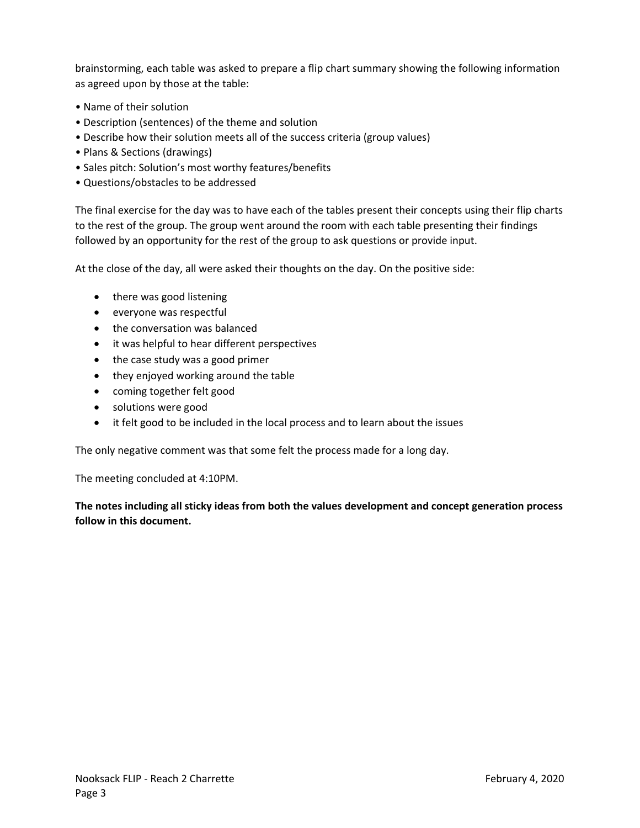brainstorming, each table was asked to prepare a flip chart summary showing the following information as agreed upon by those at the table:

- Name of their solution
- Description (sentences) of the theme and solution
- Describe how their solution meets all of the success criteria (group values)
- Plans & Sections (drawings)
- Sales pitch: Solution's most worthy features/benefits
- Questions/obstacles to be addressed

The final exercise for the day was to have each of the tables present their concepts using their flip charts to the rest of the group. The group went around the room with each table presenting their findings followed by an opportunity for the rest of the group to ask questions or provide input.

At the close of the day, all were asked their thoughts on the day. On the positive side:

- there was good listening
- everyone was respectful
- the conversation was balanced
- $\bullet$  it was helpful to hear different perspectives
- the case study was a good primer
- they enjoyed working around the table
- coming together felt good
- solutions were good
- it felt good to be included in the local process and to learn about the issues

The only negative comment was that some felt the process made for a long day.

The meeting concluded at 4:10PM.

**The notes including all sticky ideas from both the values development and concept generation process follow in this document.**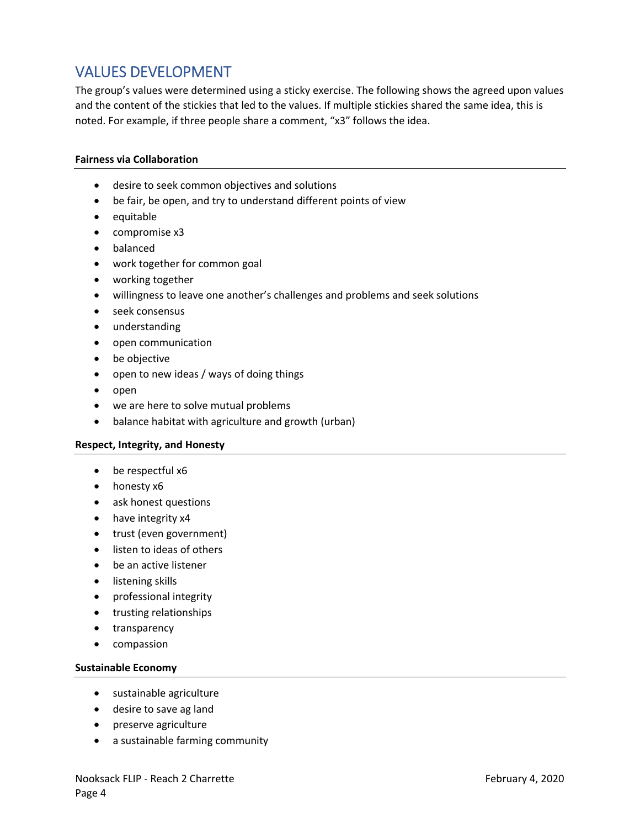# VALUES DEVELOPMENT

The group's values were determined using a sticky exercise. The following shows the agreed upon values and the content of the stickies that led to the values. If multiple stickies shared the same idea, this is noted. For example, if three people share a comment, "x3" follows the idea.

#### **Fairness via Collaboration**

- desire to seek common objectives and solutions
- be fair, be open, and try to understand different points of view
- equitable
- compromise x3
- balanced
- work together for common goal
- working together
- willingness to leave one another's challenges and problems and seek solutions
- seek consensus
- understanding
- open communication
- be objective
- open to new ideas / ways of doing things
- $\bullet$  open
- we are here to solve mutual problems
- balance habitat with agriculture and growth (urban)

#### **Respect, Integrity, and Honesty**

- be respectful x6
- honesty x6
- ask honest questions
- have integrity x4
- trust (even government)
- listen to ideas of others
- be an active listener
- **•** listening skills
- professional integrity
- **•** trusting relationships
- transparency
- compassion

#### **Sustainable Economy**

- sustainable agriculture
- desire to save ag land
- preserve agriculture
- a sustainable farming community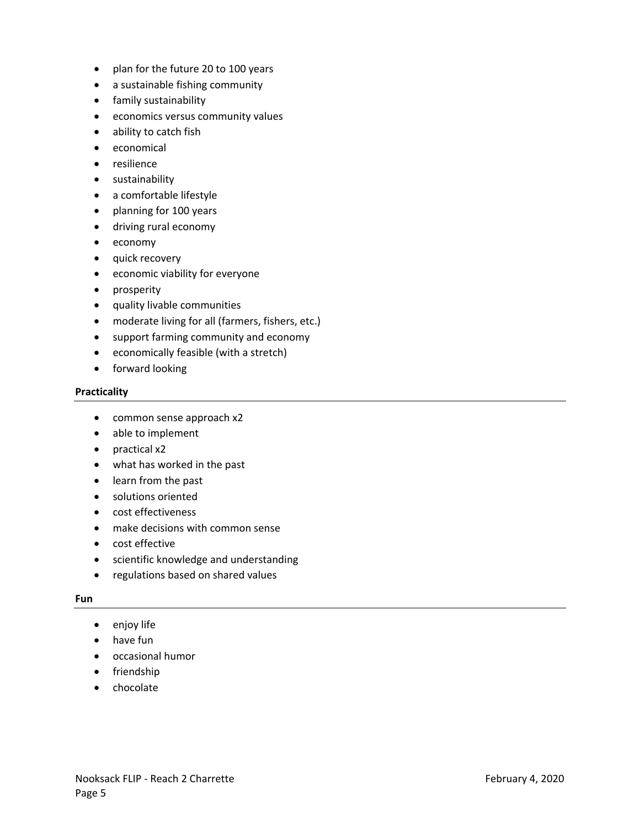- plan for the future 20 to 100 years
- a sustainable fishing community
- **•** family sustainability
- economics versus community values
- ability to catch fish
- economical
- resilience
- **•** sustainability
- a comfortable lifestyle
- planning for 100 years
- driving rural economy
- economy
- quick recovery
- economic viability for everyone
- prosperity
- quality livable communities
- moderate living for all (farmers, fishers, etc.)
- support farming community and economy
- economically feasible (with a stretch)
- **•** forward looking

#### **Practicality**

- common sense approach x2
- able to implement
- practical x2
- what has worked in the past
- learn from the past
- solutions oriented
- cost effectiveness
- make decisions with common sense
- cost effective
- scientific knowledge and understanding
- regulations based on shared values

#### **Fun**

- enjoy life
- have fun
- occasional humor
- friendship
- chocolate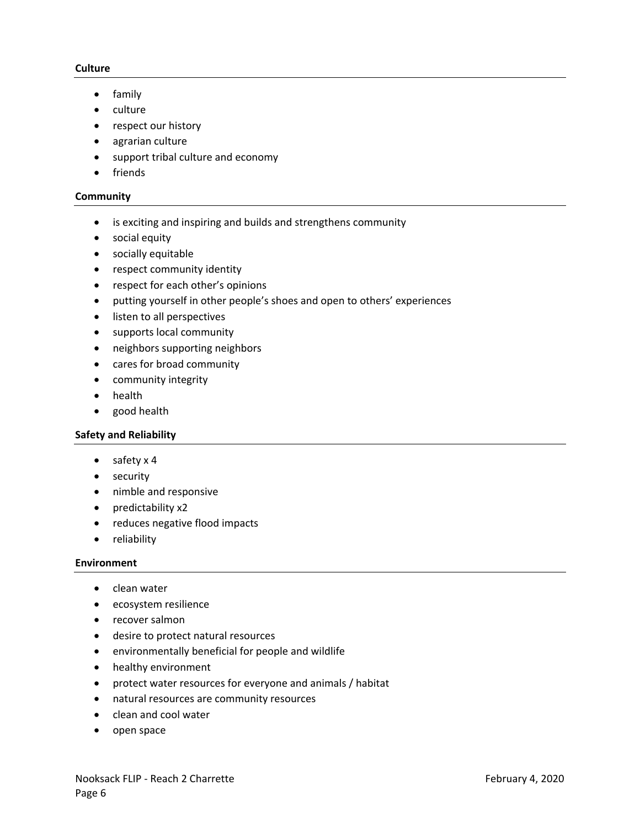#### **Culture**

- family
- culture
- respect our history
- agrarian culture
- support tribal culture and economy
- friends

#### **Community**

- is exciting and inspiring and builds and strengthens community
- social equity
- socially equitable
- respect community identity
- respect for each other's opinions
- putting yourself in other people's shoes and open to others' experiences
- listen to all perspectives
- supports local community
- neighbors supporting neighbors
- cares for broad community
- community integrity
- health
- good health

#### **Safety and Reliability**

- $\bullet$  safety x 4
- security
- nimble and responsive
- predictability x2
- reduces negative flood impacts
- reliability

#### **Environment**

- clean water
- ecosystem resilience
- recover salmon
- desire to protect natural resources
- environmentally beneficial for people and wildlife
- healthy environment
- protect water resources for everyone and animals / habitat
- natural resources are community resources
- clean and cool water
- open space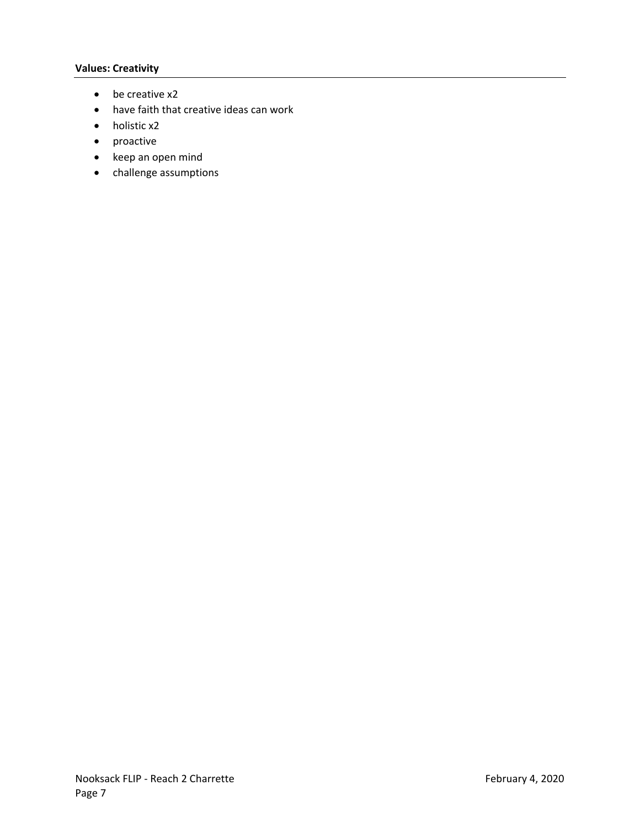#### **Values: Creativity**

- be creative x2
- have faith that creative ideas can work
- holistic x2
- proactive
- keep an open mind
- challenge assumptions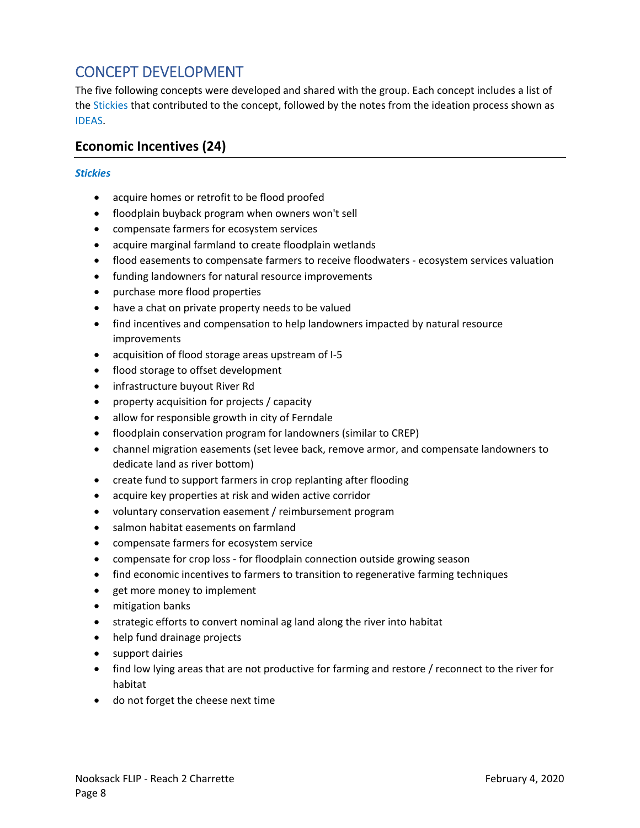# CONCEPT DEVELOPMENT

The five following concepts were developed and shared with the group. Each concept includes a list of the Stickies that contributed to the concept, followed by the notes from the ideation process shown as IDEAS.

## **Economic Incentives (24)**

- acquire homes or retrofit to be flood proofed
- floodplain buyback program when owners won't sell
- compensate farmers for ecosystem services
- acquire marginal farmland to create floodplain wetlands
- flood easements to compensate farmers to receive floodwaters ‐ ecosystem services valuation
- funding landowners for natural resource improvements
- purchase more flood properties
- have a chat on private property needs to be valued
- find incentives and compensation to help landowners impacted by natural resource improvements
- acquisition of flood storage areas upstream of I-5
- flood storage to offset development
- infrastructure buyout River Rd
- property acquisition for projects / capacity
- allow for responsible growth in city of Ferndale
- floodplain conservation program for landowners (similar to CREP)
- channel migration easements (set levee back, remove armor, and compensate landowners to dedicate land as river bottom)
- create fund to support farmers in crop replanting after flooding
- acquire key properties at risk and widen active corridor
- voluntary conservation easement / reimbursement program
- salmon habitat easements on farmland
- compensate farmers for ecosystem service
- compensate for crop loss for floodplain connection outside growing season
- find economic incentives to farmers to transition to regenerative farming techniques
- get more money to implement
- mitigation banks
- strategic efforts to convert nominal ag land along the river into habitat
- help fund drainage projects
- support dairies
- find low lying areas that are not productive for farming and restore / reconnect to the river for habitat
- do not forget the cheese next time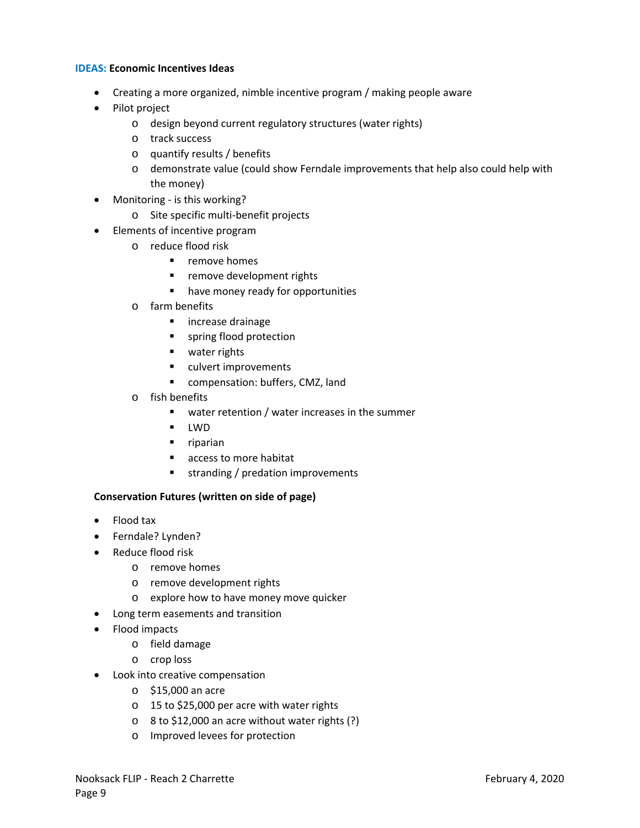#### **IDEAS: Economic Incentives Ideas**

- Creating a more organized, nimble incentive program / making people aware
- Pilot project
	- o design beyond current regulatory structures (water rights)
	- o track success
	- o quantify results / benefits
	- o demonstrate value (could show Ferndale improvements that help also could help with the money)
- Monitoring is this working?
	- o Site specific multi‐benefit projects
- Elements of incentive program
	- o reduce flood risk
		- **•** remove homes
		- **F** remove development rights
		- **•** have money ready for opportunities
	- o farm benefits
		- **n** increase drainage
		- **spring flood protection**
		- **u** water rights
		- **ulvert improvements**
		- **E** compensation: buffers, CMZ, land
	- o fish benefits
		- **•** water retention / water increases in the summer
		- **-** LWD
		- **riparian**
		- access to more habitat
		- **stranding / predation improvements**

#### **Conservation Futures (written on side of page)**

- Flood tax
- Ferndale? Lynden?
- Reduce flood risk
	- o remove homes
	- o remove development rights
	- o explore how to have money move quicker
- Long term easements and transition
- Flood impacts
	- o field damage
	- o crop loss
- Look into creative compensation
	- o \$15,000 an acre
	- o 15 to \$25,000 per acre with water rights
	- o 8 to \$12,000 an acre without water rights (?)
	- o Improved levees for protection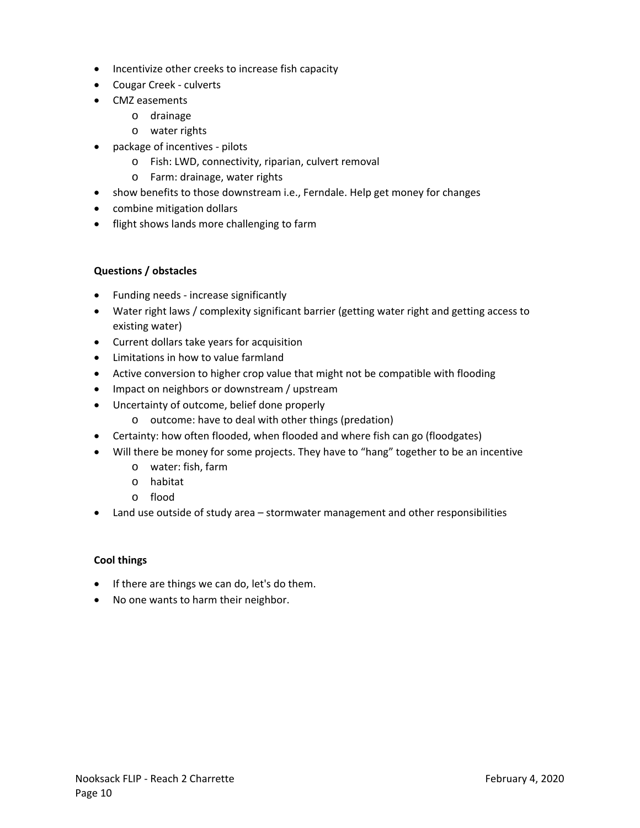- Incentivize other creeks to increase fish capacity
- Cougar Creek culverts
- CMZ easements
	- o drainage
		- o water rights
- package of incentives pilots
	- o Fish: LWD, connectivity, riparian, culvert removal
	- o Farm: drainage, water rights
- show benefits to those downstream i.e., Ferndale. Help get money for changes
- combine mitigation dollars
- **•** flight shows lands more challenging to farm

### **Questions / obstacles**

- Funding needs increase significantly
- Water right laws / complexity significant barrier (getting water right and getting access to existing water)
- Current dollars take years for acquisition
- Limitations in how to value farmland
- Active conversion to higher crop value that might not be compatible with flooding
- Impact on neighbors or downstream / upstream
- Uncertainty of outcome, belief done properly
	- o outcome: have to deal with other things (predation)
- Certainty: how often flooded, when flooded and where fish can go (floodgates)
- Will there be money for some projects. They have to "hang" together to be an incentive
	- o water: fish, farm
	- o habitat
	- o flood
- Land use outside of study area stormwater management and other responsibilities

### **Cool things**

- If there are things we can do, let's do them.
- No one wants to harm their neighbor.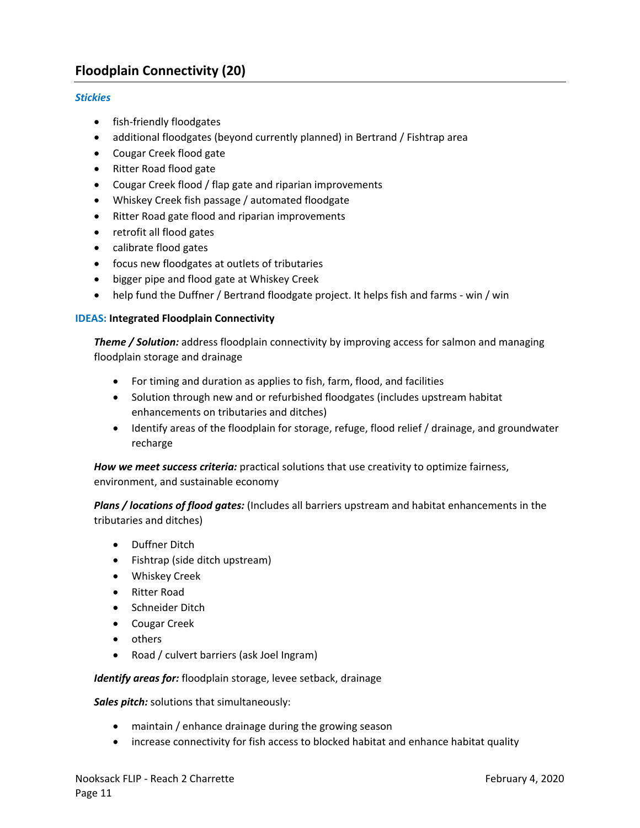## **Floodplain Connectivity (20)**

#### *Stickies*

- fish-friendly floodgates
- additional floodgates (beyond currently planned) in Bertrand / Fishtrap area
- Cougar Creek flood gate
- Ritter Road flood gate
- Cougar Creek flood / flap gate and riparian improvements
- Whiskey Creek fish passage / automated floodgate
- Ritter Road gate flood and riparian improvements
- retrofit all flood gates
- calibrate flood gates
- focus new floodgates at outlets of tributaries
- **•** bigger pipe and flood gate at Whiskey Creek
- help fund the Duffner / Bertrand floodgate project. It helps fish and farms ‐ win / win

#### **IDEAS: Integrated Floodplain Connectivity**

*Theme / Solution:* address floodplain connectivity by improving access for salmon and managing floodplain storage and drainage

- For timing and duration as applies to fish, farm, flood, and facilities
- Solution through new and or refurbished floodgates (includes upstream habitat enhancements on tributaries and ditches)
- Identify areas of the floodplain for storage, refuge, flood relief / drainage, and groundwater recharge

*How we meet success criteria:* practical solutions that use creativity to optimize fairness, environment, and sustainable economy

*Plans / locations of flood gates:* (Includes all barriers upstream and habitat enhancements in the tributaries and ditches)

- Duffner Ditch
- Fishtrap (side ditch upstream)
- Whiskey Creek
- Ritter Road
- Schneider Ditch
- Cougar Creek
- others
- Road / culvert barriers (ask Joel Ingram)

*Identify areas for:* floodplain storage, levee setback, drainage

*Sales pitch:* solutions that simultaneously:

- maintain / enhance drainage during the growing season
- increase connectivity for fish access to blocked habitat and enhance habitat quality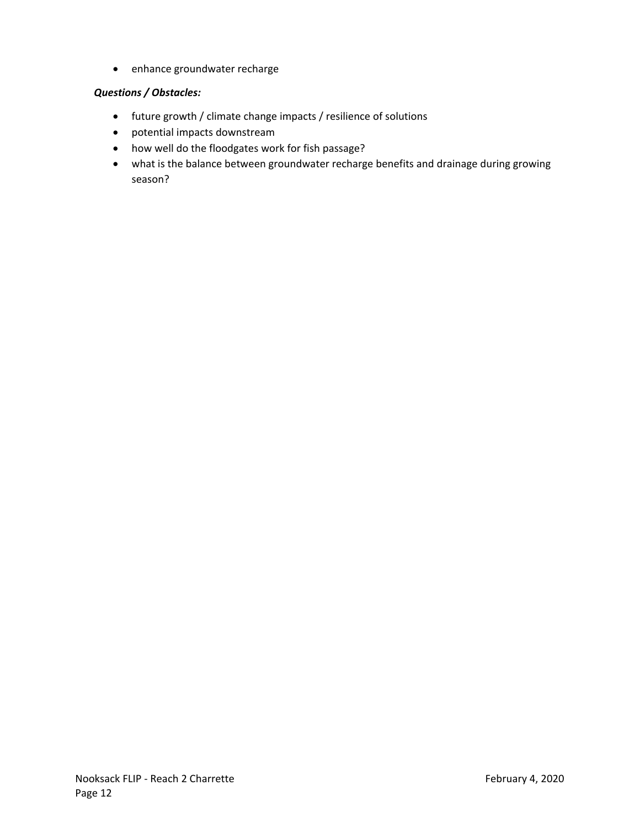• enhance groundwater recharge

#### *Questions / Obstacles:*

- future growth / climate change impacts / resilience of solutions
- potential impacts downstream
- how well do the floodgates work for fish passage?
- what is the balance between groundwater recharge benefits and drainage during growing season?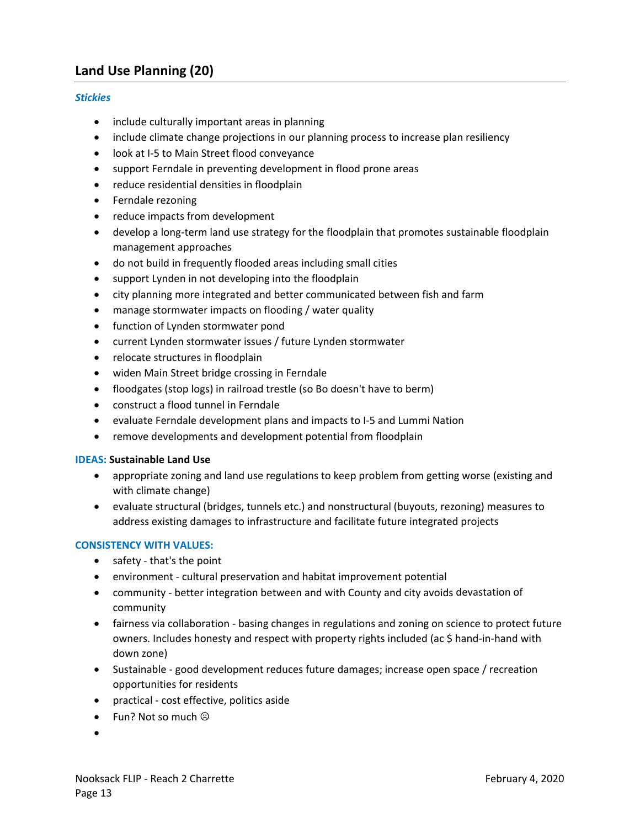## **Land Use Planning (20)**

#### *Stickies*

- include culturally important areas in planning
- include climate change projections in our planning process to increase plan resiliency
- look at I‐5 to Main Street flood conveyance
- support Ferndale in preventing development in flood prone areas
- reduce residential densities in floodplain
- Ferndale rezoning
- reduce impacts from development
- develop a long-term land use strategy for the floodplain that promotes sustainable floodplain management approaches
- do not build in frequently flooded areas including small cities
- support Lynden in not developing into the floodplain
- city planning more integrated and better communicated between fish and farm
- manage stormwater impacts on flooding / water quality
- function of Lynden stormwater pond
- current Lynden stormwater issues / future Lynden stormwater
- relocate structures in floodplain
- widen Main Street bridge crossing in Ferndale
- floodgates (stop logs) in railroad trestle (so Bo doesn't have to berm)
- construct a flood tunnel in Ferndale
- evaluate Ferndale development plans and impacts to I‐5 and Lummi Nation
- remove developments and development potential from floodplain

#### **IDEAS: Sustainable Land Use**

- appropriate zoning and land use regulations to keep problem from getting worse (existing and with climate change)
- evaluate structural (bridges, tunnels etc.) and nonstructural (buyouts, rezoning) measures to address existing damages to infrastructure and facilitate future integrated projects

#### **CONSISTENCY WITH VALUES:**

- safety that's the point
- environment cultural preservation and habitat improvement potential
- community better integration between and with County and city avoids devastation of community
- fairness via collaboration basing changes in regulations and zoning on science to protect future owners. Includes honesty and respect with property rights included (ac \$ hand‐in‐hand with down zone)
- Sustainable good development reduces future damages; increase open space / recreation opportunities for residents
- practical cost effective, politics aside
- Fun? Not so much  $\odot$
- $\bullet$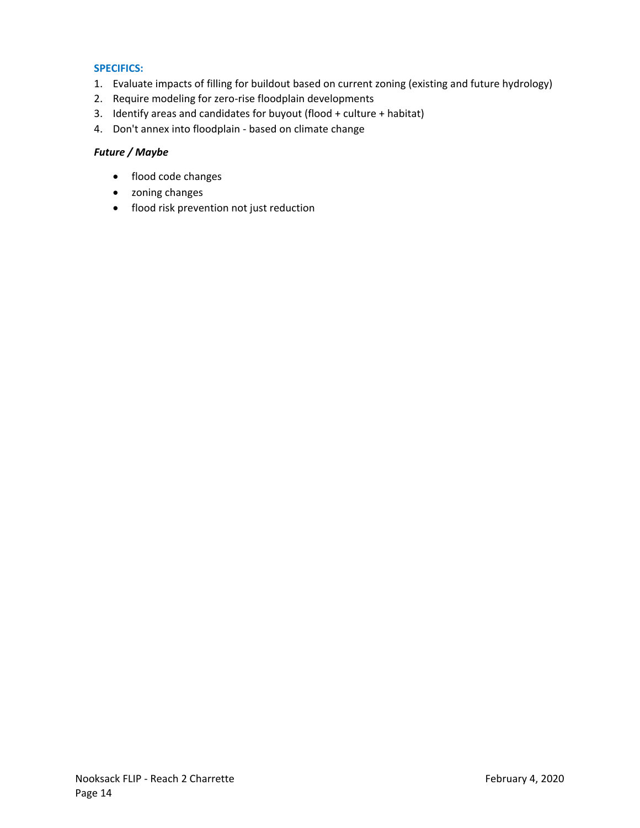#### **SPECIFICS:**

- 1. Evaluate impacts of filling for buildout based on current zoning (existing and future hydrology)
- 2. Require modeling for zero-rise floodplain developments
- 3. Identify areas and candidates for buyout (flood + culture + habitat)
- 4. Don't annex into floodplain ‐ based on climate change

#### *Future / Maybe*

- flood code changes
- zoning changes
- flood risk prevention not just reduction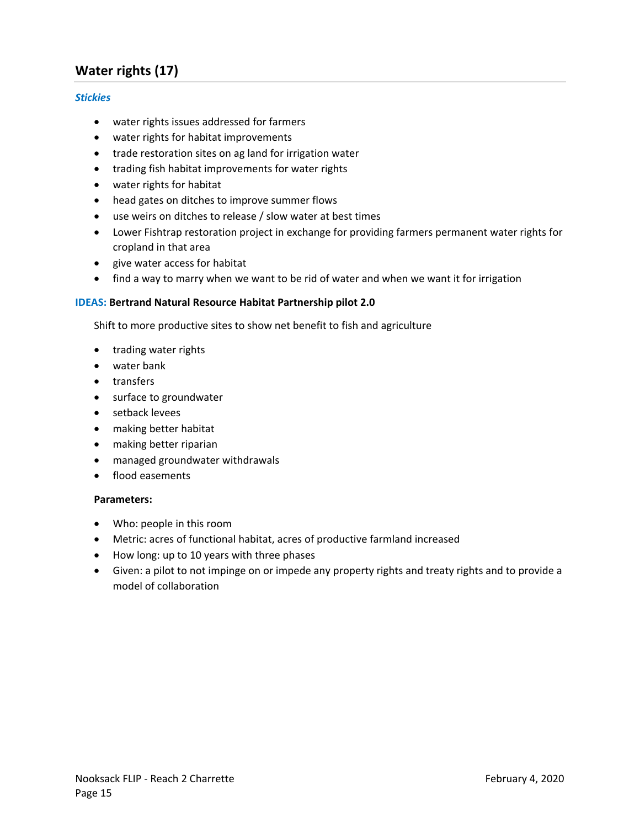## **Water rights (17)**

#### *Stickies*

- water rights issues addressed for farmers
- water rights for habitat improvements
- trade restoration sites on ag land for irrigation water
- trading fish habitat improvements for water rights
- water rights for habitat
- head gates on ditches to improve summer flows
- use weirs on ditches to release / slow water at best times
- Lower Fishtrap restoration project in exchange for providing farmers permanent water rights for cropland in that area
- give water access for habitat
- find a way to marry when we want to be rid of water and when we want it for irrigation

#### **IDEAS: Bertrand Natural Resource Habitat Partnership pilot 2.0**

Shift to more productive sites to show net benefit to fish and agriculture

- trading water rights
- water bank
- transfers
- surface to groundwater
- setback levees
- making better habitat
- making better riparian
- managed groundwater withdrawals
- flood easements

#### **Parameters:**

- Who: people in this room
- Metric: acres of functional habitat, acres of productive farmland increased
- How long: up to 10 years with three phases
- Given: a pilot to not impinge on or impede any property rights and treaty rights and to provide a model of collaboration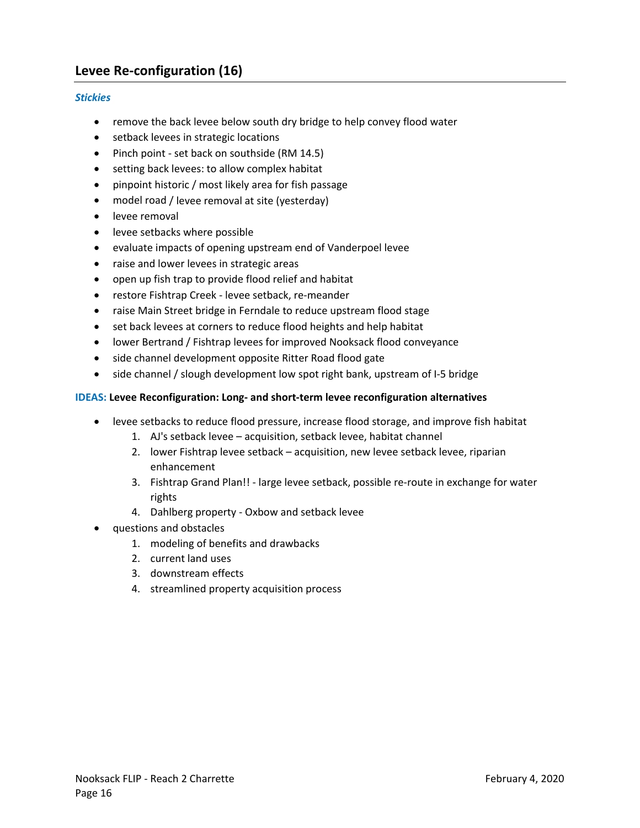## **Levee Re‐configuration (16)**

#### *Stickies*

- remove the back levee below south dry bridge to help convey flood water
- **•** setback levees in strategic locations
- Pinch point set back on southside (RM 14.5)
- setting back levees: to allow complex habitat
- pinpoint historic / most likely area for fish passage
- model road / levee removal at site (yesterday)
- levee removal
- **•** levee setbacks where possible
- evaluate impacts of opening upstream end of Vanderpoel levee
- raise and lower levees in strategic areas
- open up fish trap to provide flood relief and habitat
- restore Fishtrap Creek ‐ levee setback, re‐meander
- raise Main Street bridge in Ferndale to reduce upstream flood stage
- set back levees at corners to reduce flood heights and help habitat
- lower Bertrand / Fishtrap levees for improved Nooksack flood conveyance
- side channel development opposite Ritter Road flood gate
- side channel / slough development low spot right bank, upstream of I-5 bridge

#### **IDEAS: Levee Reconfiguration: Long‐ and short‐term levee reconfiguration alternatives**

- levee setbacks to reduce flood pressure, increase flood storage, and improve fish habitat
	- 1. AJ's setback levee acquisition, setback levee, habitat channel
	- 2. lower Fishtrap levee setback acquisition, new levee setback levee, riparian enhancement
	- 3. Fishtrap Grand Plan!! ‐ large levee setback, possible re‐route in exchange for water rights
	- 4. Dahlberg property ‐ Oxbow and setback levee
- questions and obstacles
	- 1. modeling of benefits and drawbacks
	- 2. current land uses
	- 3. downstream effects
	- 4. streamlined property acquisition process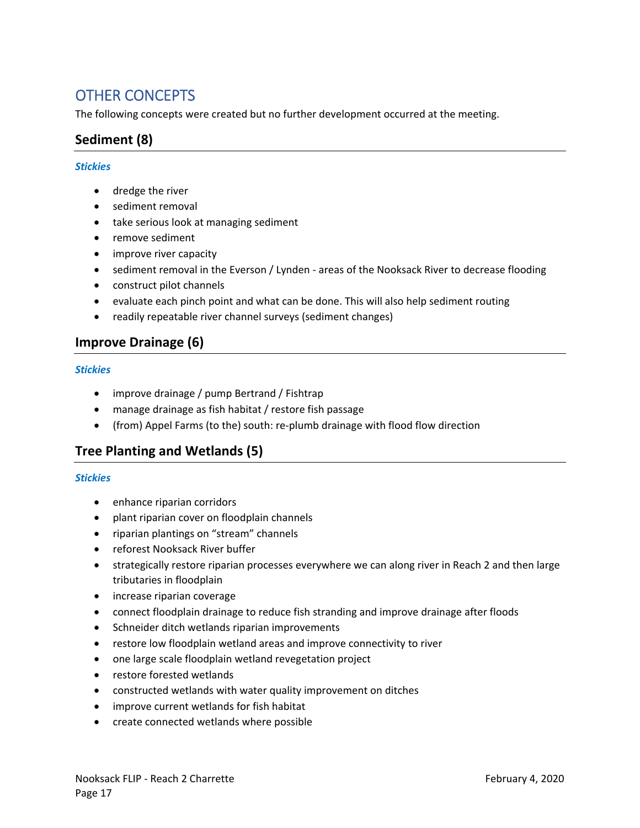# OTHER CONCEPTS

The following concepts were created but no further development occurred at the meeting.

## **Sediment (8)**

#### *Stickies*

- dredge the river
- sediment removal
- take serious look at managing sediment
- remove sediment
- improve river capacity
- sediment removal in the Everson / Lynden areas of the Nooksack River to decrease flooding
- construct pilot channels
- evaluate each pinch point and what can be done. This will also help sediment routing
- readily repeatable river channel surveys (sediment changes)

## **Improve Drainage (6)**

#### *Stickies*

- improve drainage / pump Bertrand / Fishtrap
- manage drainage as fish habitat / restore fish passage
- (from) Appel Farms (to the) south: re-plumb drainage with flood flow direction

## **Tree Planting and Wetlands (5)**

- enhance riparian corridors
- plant riparian cover on floodplain channels
- riparian plantings on "stream" channels
- reforest Nooksack River buffer
- strategically restore riparian processes everywhere we can along river in Reach 2 and then large tributaries in floodplain
- increase riparian coverage
- connect floodplain drainage to reduce fish stranding and improve drainage after floods
- Schneider ditch wetlands riparian improvements
- restore low floodplain wetland areas and improve connectivity to river
- one large scale floodplain wetland revegetation project
- restore forested wetlands
- constructed wetlands with water quality improvement on ditches
- improve current wetlands for fish habitat
- create connected wetlands where possible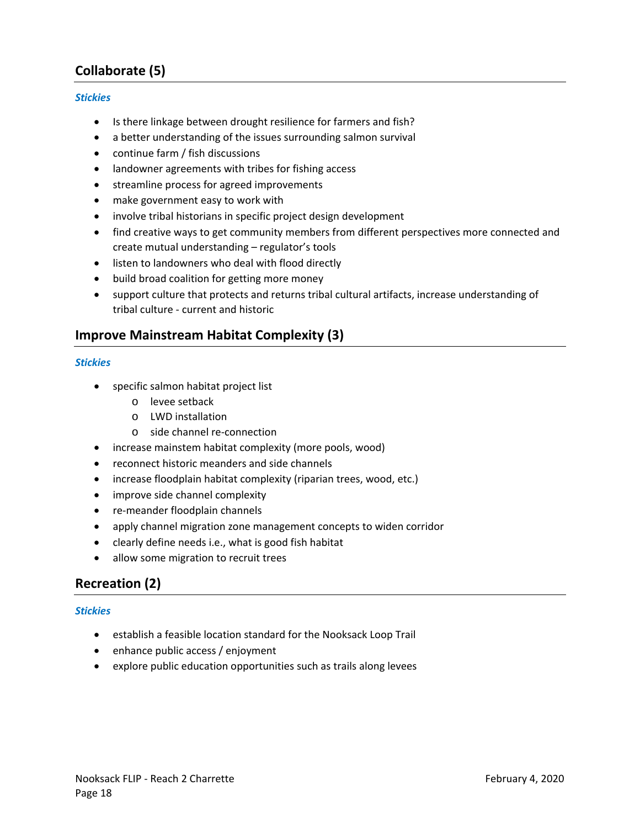## **Collaborate (5)**

#### *Stickies*

- Is there linkage between drought resilience for farmers and fish?
- a better understanding of the issues surrounding salmon survival
- continue farm / fish discussions
- landowner agreements with tribes for fishing access
- streamline process for agreed improvements
- make government easy to work with
- involve tribal historians in specific project design development
- find creative ways to get community members from different perspectives more connected and create mutual understanding – regulator's tools
- listen to landowners who deal with flood directly
- build broad coalition for getting more money
- support culture that protects and returns tribal cultural artifacts, increase understanding of tribal culture ‐ current and historic

### **Improve Mainstream Habitat Complexity (3)**

#### *Stickies*

- specific salmon habitat project list
	- o levee setback
	- o LWD installation
	- o side channel re‐connection
- increase mainstem habitat complexity (more pools, wood)
- reconnect historic meanders and side channels
- increase floodplain habitat complexity (riparian trees, wood, etc.)
- improve side channel complexity
- re-meander floodplain channels
- apply channel migration zone management concepts to widen corridor
- clearly define needs i.e., what is good fish habitat
- allow some migration to recruit trees

## **Recreation (2)**

- establish a feasible location standard for the Nooksack Loop Trail
- enhance public access / enjoyment
- explore public education opportunities such as trails along levees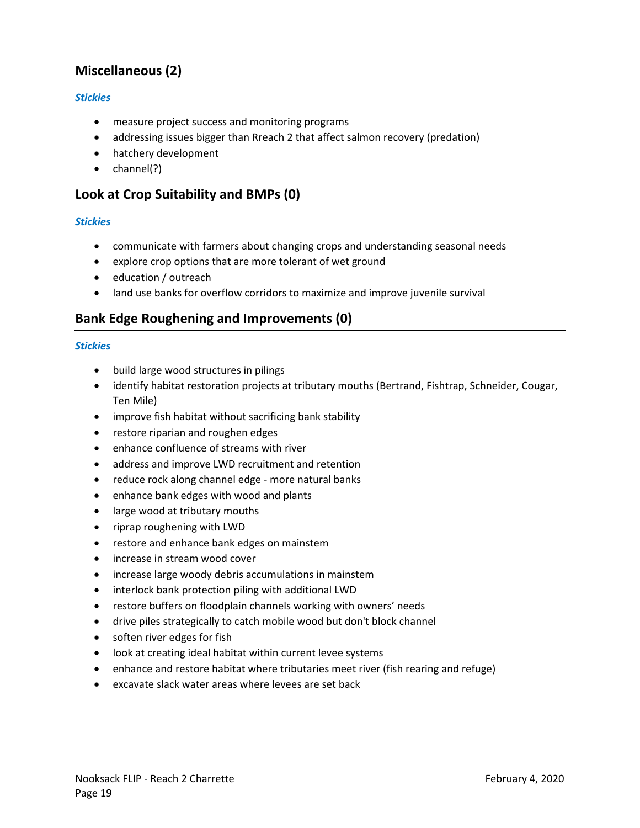## **Miscellaneous (2)**

#### *Stickies*

- measure project success and monitoring programs
- addressing issues bigger than Rreach 2 that affect salmon recovery (predation)
- hatchery development
- $\bullet$  channel(?)

## **Look at Crop Suitability and BMPs (0)**

#### *Stickies*

- communicate with farmers about changing crops and understanding seasonal needs
- explore crop options that are more tolerant of wet ground
- education / outreach
- land use banks for overflow corridors to maximize and improve juvenile survival

## **Bank Edge Roughening and Improvements (0)**

- build large wood structures in pilings
- identify habitat restoration projects at tributary mouths (Bertrand, Fishtrap, Schneider, Cougar, Ten Mile)
- improve fish habitat without sacrificing bank stability
- restore riparian and roughen edges
- enhance confluence of streams with river
- address and improve LWD recruitment and retention
- reduce rock along channel edge more natural banks
- enhance bank edges with wood and plants
- large wood at tributary mouths
- riprap roughening with LWD
- restore and enhance bank edges on mainstem
- increase in stream wood cover
- increase large woody debris accumulations in mainstem
- interlock bank protection piling with additional LWD
- restore buffers on floodplain channels working with owners' needs
- drive piles strategically to catch mobile wood but don't block channel
- soften river edges for fish
- look at creating ideal habitat within current levee systems
- enhance and restore habitat where tributaries meet river (fish rearing and refuge)
- excavate slack water areas where levees are set back